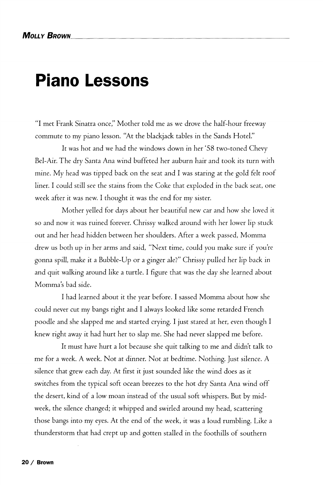## **Piano Lessons**

"I met Frank Sinatra *once"* Mother told me as we drove the half-hour freeway commute to my piano lesson. "At the blackjack tables in the Sands Hotel."

It was hot and we had the windows down in her '58 two-toned Chevy Bel-Air. The dry Santa Ana wind buffeted her auburn hair and took its turn with mine. My head was tipped back on the seat and I was staring at the gold felt roof liner. I could still see the stains from the Coke that exploded in the back seat, one week after it was new. I thought it was the end for my sister.

Mother yelled for days about her beautiful new car and how she loved it so and now it was ruined forever. Chrissy walked around with her lower lip stuck out and her head hidden between her shoulders. After a week passed, Momma drew us both up in her arms and said, "Next time, could you make sure if you're gonna spill, make it a Bubble-Up or a ginger ale?" Chrissy pulled her lip back in and quit walking around like a turtle. I figure that was the day she learned about Momma's bad side.

I had learned about it the year before. I sassed Momma about how she could never cut my bangs right and I always looked like some retarded French poodle and she slapped me and started crying. I just stared at her, even though I knew right away it had hurt her to slap me. She had never slapped me before.

It must have hurt a lot because she quit talking to me and didn't talk to me for a week. A week. Not at dinner. Not at bedtime. Nothing. Just silence. A silence that grew each day. At first it just sounded like the wind does as it switches from the typical soft ocean breezes to the hot dry Santa Ana wind off the desert, kind of a low moan instead of the usual soft whispers. But by midweek, the silence changed; it whipped and swirled around my head, scattering those bangs into my eyes. At the end *of* the week, it was a loud rumbling. Like a thunderstorm that had crept up and gotten stalled in the foothills of southern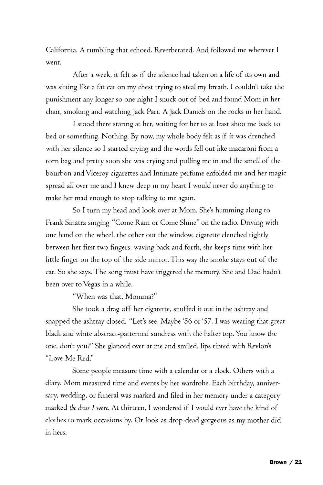California. A rumbling that echoed. Reverberated. And followed me wherever I went.

After a week, it felt as if the silence had taken on a life of its own and was sitting like a fat cat on my chest trying to steal my breath. I couldn't take the punishment any longer so one night I snuck out of bed and found Mom in her chair, smoking and watching Jack Parr. A Jack Daniels on the rocks in her hand.

I stood there staring at her, waiting for her to at least shoo me back to bed or something. Nothing. By now, my whole body felt as if it was drenched with her silence so I started crying and the words fell out like macaroni from a torn bag and pretty soon she was crying and pulling me in and the smell of the bourbon and Viceroy cigarettes and Intimate perfume enfolded me and her magic spread all over me and I knew deep in my heart I would never do anything to make her mad enough to stop talking to me again.

So I turn my head and look over at Mom. She's humming along to Frank Sinatra singing "Come Rain or Come Shine" on the radio. Driving with one hand on the wheel, the other out the window, cigarette clenched tightly between her first two fingers, waving back and forth, she keeps time with her little finger on the top of the side mirror. This way the smoke stays out of the car. So she says. The song must have triggered the memory. She and Dad hadn't been over to Vegas in a while.

"When was that, Momma?"

She took a drag off her cigarette, snuffed it out in the ashtray and snapped the ashtray closed. "Let's see. Maybe '56 or '57.1 was wearing that great black and white abstract-patterned sundress with the halter top. You know the one, don't you?" She glanced over at me and smiled, lips tinted with Revlon's "Love Me Red."

Some people measure time with a calendar or a clock. Others with a diary. Mom measured time and events by her wardrobe. Each birthday, anniversary, wedding, or funeral was marked and filed in her memory under a category marked *the dress I wore.* At thirteen, I wondered if I would ever have the kind of clothes to mark occasions by. Or look as drop-dead gorgeous as my mother did in hers.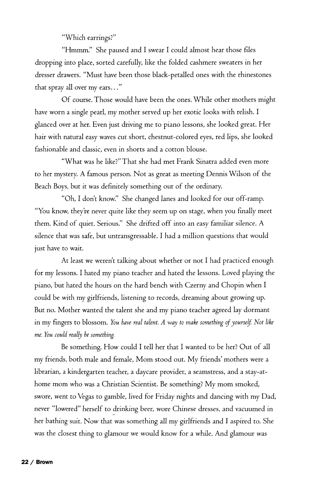"Which earrings?"

"Hmmm." She paused and I swear I could almost hear those files dropping into place, sorted carefully, like the folded cashmere sweaters in her dresser drawers. "Must have been those black-petalled ones with the rhinestones that spray all over my ears..."

Of course. Those would have been the ones. While other mothers might have worn a single pearl, my mother served up her exotic looks with relish. I glanced over at her. Even just driving me to piano lessons, she looked great. Her hair with natural easy waves cut short, chestnut-colored eyes, red lips, she looked fashionable and classic, even in shorts and a cotton blouse.

"What was he like?" That she had met Frank Sinatra added even more to her mystery. A famous person. Not as great as meeting Dennis Wilson of the Beach Boys, but it was definitely something out of the ordinary.

"Oh, I don't know." She changed lanes and looked for our off-ramp. "You know, they're never quite like they seem up on stage, when you finally meet them. Kind of quiet. Serious." She drifted off into an easy familiar silence. A silence that was safe, but untransgressable. I had a million questions that would just have to wait.

At least we weren't talking about whether or not I had practiced enough for my lessons. I hated my piano teacher and hated the lessons. Loved playing the piano, but hated the hours on the hard bench with Czerny and Chopin when I could be with my girlfriends, listening to records, dreaming about growing up. But no. Mother wanted the talent she and my piano teacher agreed lay dormant in my fingers to blossom. *You have real talent. A way to make something of yourself. Not like me. You could really be something.* 

Be something. How could I tell her that I wanted to be her? Out of all my friends, both male and female, Mom stood out. My friends' mothers were a librarian, a kindergarten teacher, a daycare provider, a seamstress, and a stay-athome mom who was a Christian Scientist. Be something? My mom smoked, swore, went to Vegas to gamble, lived for Friday nights and dancing with my Dad, never "lowered" herself to drinking beer, wore Chinese dresses, and vacuumed in her bathing suit. Now that was something all my girlfriends and I aspired to. She was the closest thing to glamour we would know for a while. And glamour was